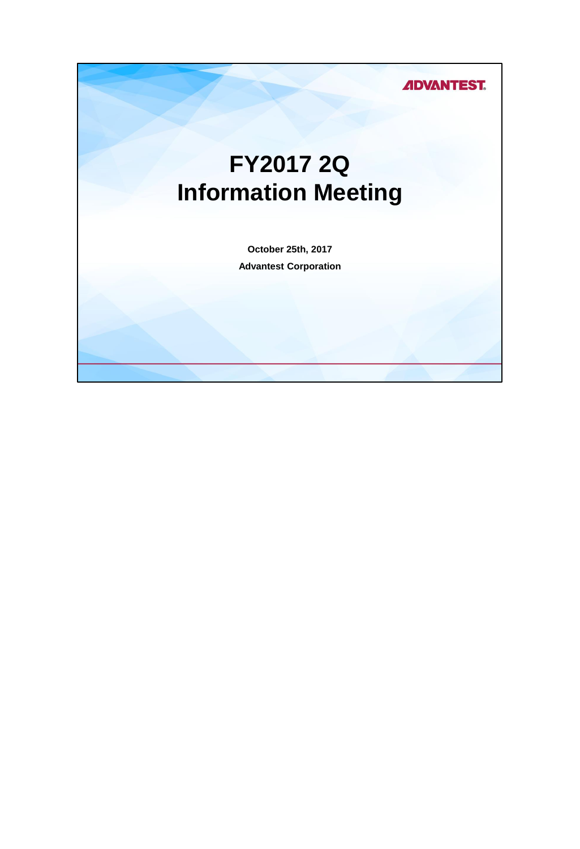### **ADVANTEST.**

# **FY2017 2Q Information Meeting**

**October 25th, 2017 Advantest Corporation**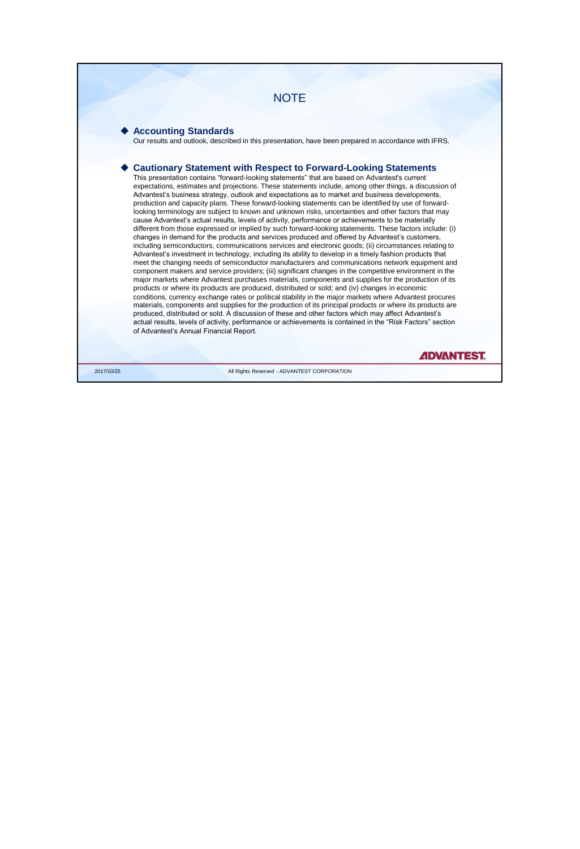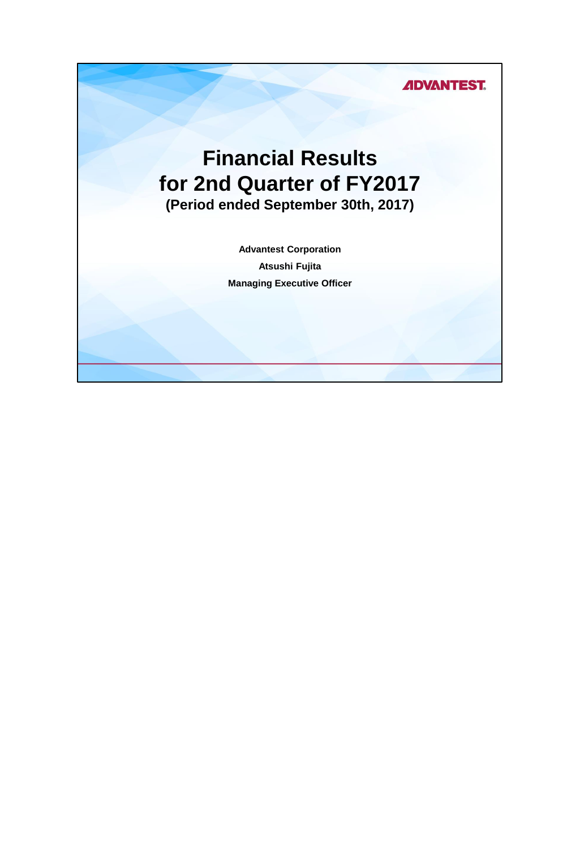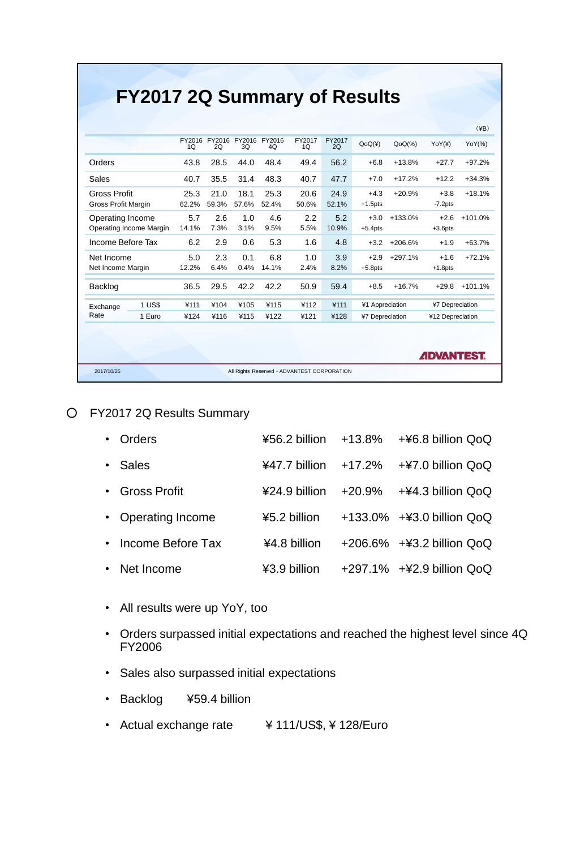## **FY2017 2Q Summary of Results**

|                            |                         |              |             |                            |             |              |              |                      |           | <b>ADVANTEST.</b>    |           |
|----------------------------|-------------------------|--------------|-------------|----------------------------|-------------|--------------|--------------|----------------------|-----------|----------------------|-----------|
| Rate                       | 1 Euro                  | ¥124         | ¥116        | ¥115                       | ¥122        | ¥121         | ¥128         | ¥7 Depreciation      |           | ¥12 Depreciation     |           |
| Exchange                   | 1 US\$                  | ¥111         | ¥104        | ¥105                       | ¥115        | ¥112         | ¥111         | ¥1 Appreciation      |           | ¥7 Depreciation      |           |
| Backlog                    |                         | 36.5         | 29.5        | 42.2                       | 42.2        | 50.9         | 59.4         | $+8.5$               | $+16.7%$  | $+29.8$              | $+101.1%$ |
| Net Income Margin          |                         | 12.2%        | 6.4%        | 0.4%                       | 14.1%       | 2.4%         | 8.2%         | $+5.8$ pts           |           | $+1.8$ pts           |           |
| Net Income                 |                         | 5.0          | 2.3         | 0.1                        | 6.8         | 1.0          | 3.9          | $+2.9$               | $+297.1%$ | $+1.6$               | $+72.1%$  |
| Income Before Tax          |                         | 6.2          | 2.9         | 0.6                        | 5.3         | 1.6          | 4.8          | $+3.2$               | $+206.6%$ | $+1.9$               | $+63.7%$  |
| Operating Income           | Operating Income Margin | 5.7<br>14.1% | 2.6<br>7.3% | 1.0<br>3.1%                | 4.6<br>9.5% | 2.2<br>5.5%  | 5.2<br>10.9% | $+3.0$<br>$+5.4$ pts | $+133.0%$ | $+2.6$<br>$+3.6$ pts | $+101.0%$ |
| <b>Gross Profit Margin</b> |                         | 62.2%        | 59.3%       | 57.6%                      | 52.4%       | 50.6%        | 52.1%        | $+1.5$ pts           |           | $-7.2$ pts           |           |
| <b>Gross Profit</b>        |                         | 25.3         | 21.0        | 18.1                       | 25.3        | 20.6         | 24.9         | $+4.3$               | $+20.9%$  | $+3.8$               | $+18.1%$  |
| Sales                      |                         | 40.7         | 35.5        | 31.4                       | 48.3        | 40.7         | 47.7         | $+7.0$               | $+17.2%$  | $+12.2$              | $+34.3%$  |
| Orders                     |                         | 43.8         | 28.5        | 44.0                       | 48.4        | 49.4         | 56.2         | $+6.8$               | $+13.8%$  | $+27.7$              | $+97.2%$  |
|                            |                         | FY2016<br>1Q | 2O          | FY2016 FY2016 FY2016<br>3Q | 4O          | FY2017<br>1Q | FY2017<br>2O | QoQ(4)               | $QoQ(\%)$ | YoY(F)               | YoY(%)    |
|                            |                         |              |             |                            |             |              |              |                      |           |                      |           |

#### ○ FY2017 2Q Results Summary

| Orders              |              | $456.2$ billion $+13.8\%$ $+46.8$ billion QoQ                                           |
|---------------------|--------------|-----------------------------------------------------------------------------------------|
| • Sales             |              | ¥47.7 billion $+17.2\%$ $+47.0$ billion QoQ                                             |
| • Gross Profit      |              | $\text{\#24.9}$ billion $\rightarrow$ +20.9% $\rightarrow$ + $\text{\#4.3}$ billion QoQ |
| • Operating Income  | ¥5.2 billion | +133.0% +¥3.0 billion QoQ                                                               |
| • Income Before Tax | ¥4.8 billion | +206.6% +¥3.2 billion QoQ                                                               |
| • Net Income        | ¥3.9 billion | +297.1% +¥2.9 billion QoQ                                                               |

- All results were up YoY, too
- Orders surpassed initial expectations and reached the highest level since 4Q FY2006
- Sales also surpassed initial expectations
- Backlog ¥59.4 billion
- Actual exchange rate ¥ 111/US\$, ¥ 128/Euro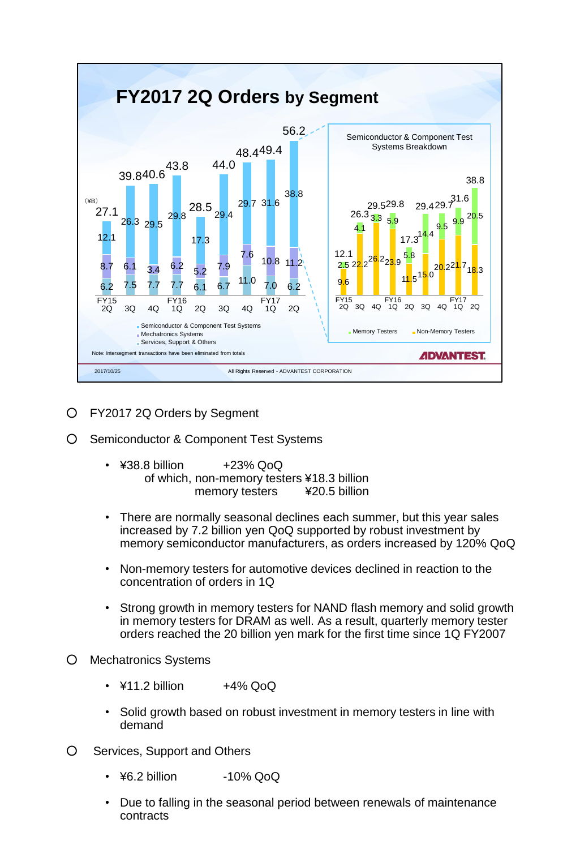

- FY2017 2Q Orders by Segment
- Semiconductor & Component Test Systems
	- $\cdot$  ¥38.8 billion  $+23\%$  QoQ of which, non-memory testers ¥18.3 billion memory testers ¥20.5 billion
	- There are normally seasonal declines each summer, but this year sales increased by 7.2 billion yen QoQ supported by robust investment by memory semiconductor manufacturers, as orders increased by 120% QoQ
	- Non-memory testers for automotive devices declined in reaction to the concentration of orders in 1Q
	- Strong growth in memory testers for NAND flash memory and solid growth in memory testers for DRAM as well. As a result, quarterly memory tester orders reached the 20 billion yen mark for the first time since 1Q FY2007
- Mechatronics Systems
	- $\cdot$  \times  $\pm$ 4% QoQ
	- Solid growth based on robust investment in memory testers in line with demand
- O Services, Support and Others
	- $\cdot$  ¥6.2 billion  $-10\%$  QoQ
	- Due to falling in the seasonal period between renewals of maintenance contracts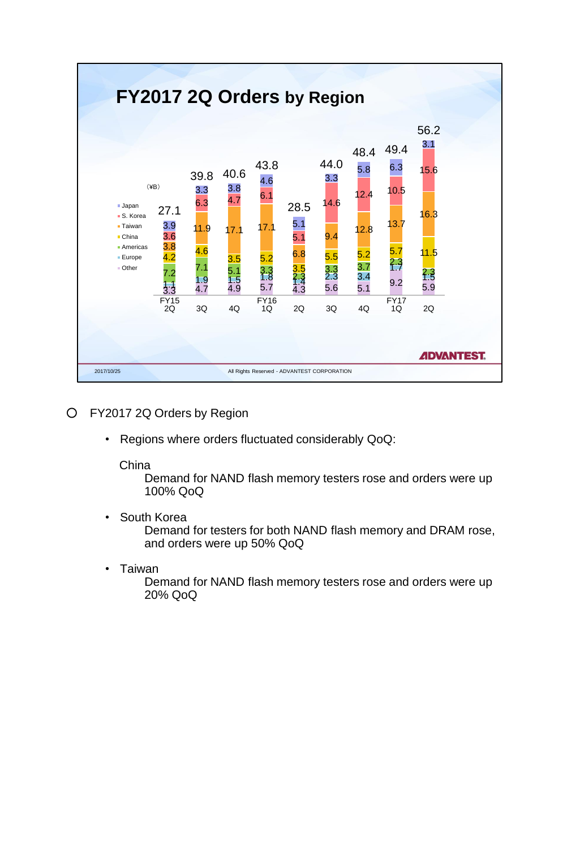

- FY2017 2Q Orders by Region
	- Regions where orders fluctuated considerably QoQ:

#### China

Demand for NAND flash memory testers rose and orders were up 100% QoQ

• South Korea

Demand for testers for both NAND flash memory and DRAM rose, and orders were up 50% QoQ

• Taiwan

Demand for NAND flash memory testers rose and orders were up 20% QoQ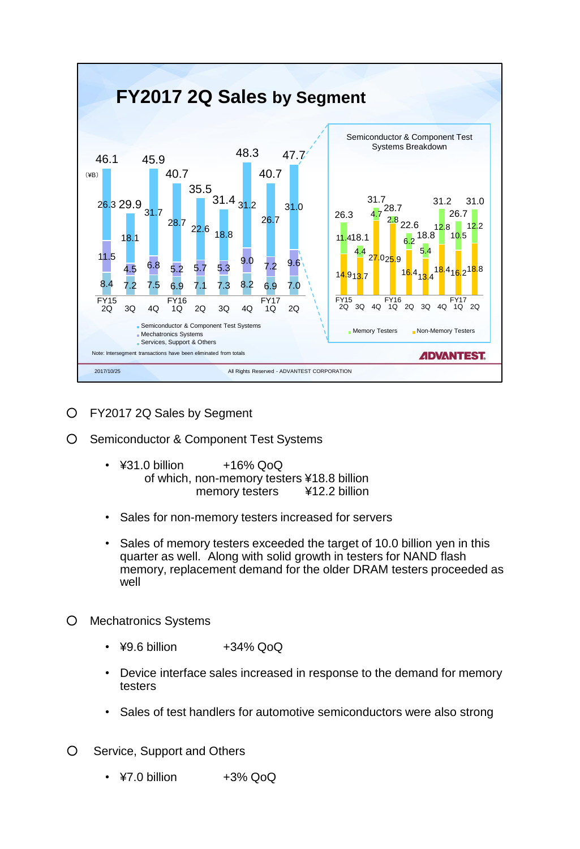

- FY2017 2Q Sales by Segment
- Semiconductor & Component Test Systems
	- $\cdot$  ¥31.0 billion  $+16\%$  QoQ of which, non-memory testers ¥18.8 billion memory testers ¥12.2 billion
	- Sales for non-memory testers increased for servers
	- Sales of memory testers exceeded the target of 10.0 billion yen in this quarter as well. Along with solid growth in testers for NAND flash memory, replacement demand for the older DRAM testers proceeded as well
- Mechatronics Systems
	- $49.6$  billion  $+34\%$  QoQ
	- Device interface sales increased in response to the demand for memory testers
	- Sales of test handlers for automotive semiconductors were also strong
- O Service, Support and Others
	- $\cdot$  \times  $+3\%$  QoQ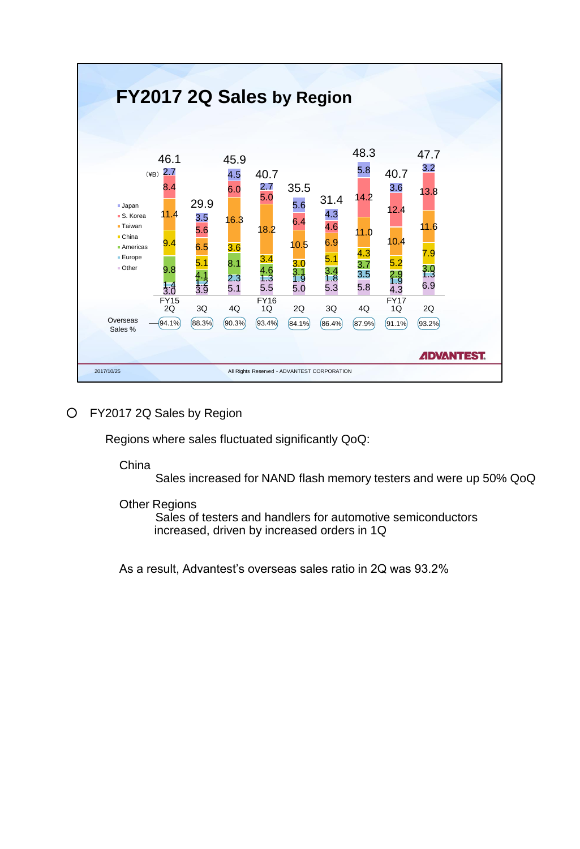

#### ○ FY2017 2Q Sales by Region

Regions where sales fluctuated significantly QoQ:

China

Sales increased for NAND flash memory testers and were up 50% QoQ

Other Regions

Sales of testers and handlers for automotive semiconductors increased, driven by increased orders in 1Q

As a result, Advantest's overseas sales ratio in 2Q was 93.2%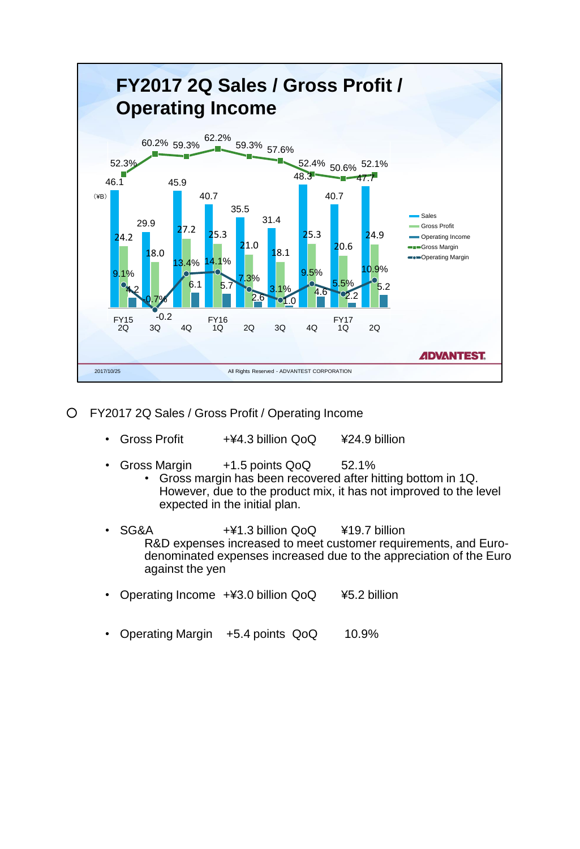

- FY2017 2Q Sales / Gross Profit / Operating Income
	- Gross Profit +\f4.3 billion QoQ \test{424.9 billion
	- Gross Margin  $+1.5$  points QoQ 52.1%
		- Gross margin has been recovered after hitting bottom in 1Q. However, due to the product mix, it has not improved to the level expected in the initial plan.
	- SG&A +¥1.3 billion QoQ ¥19.7 billion R&D expenses increased to meet customer requirements, and Eurodenominated expenses increased due to the appreciation of the Euro against the yen
	- Operating Income +¥3.0 billion QoQ ¥5.2 billion
	- Operating Margin +5.4 points QoQ 10.9%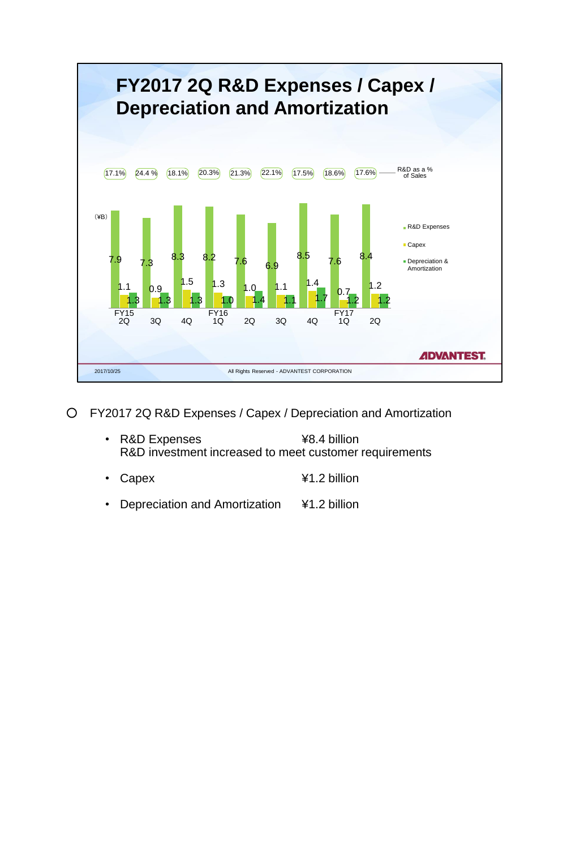

- FY2017 2Q R&D Expenses / Capex / Depreciation and Amortization
	- R&D Expenses  $\overline{48.4}$  billion R&D investment increased to meet customer requirements
	- Capex ¥1.2 billion
	- Depreciation and Amortization ¥1.2 billion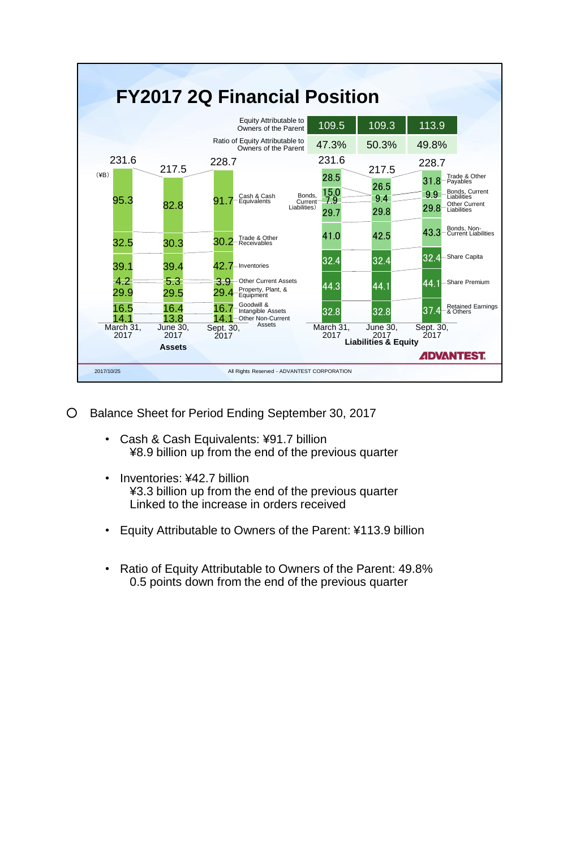

- Balance Sheet for Period Ending September 30, 2017
	- Cash & Cash Equivalents: ¥91.7 billion ¥8.9 billion up from the end of the previous quarter
	- Inventories: ¥42.7 billion ¥3.3 billion up from the end of the previous quarter Linked to the increase in orders received
	- Equity Attributable to Owners of the Parent: ¥113.9 billion
	- Ratio of Equity Attributable to Owners of the Parent: 49.8% 0.5 points down from the end of the previous quarter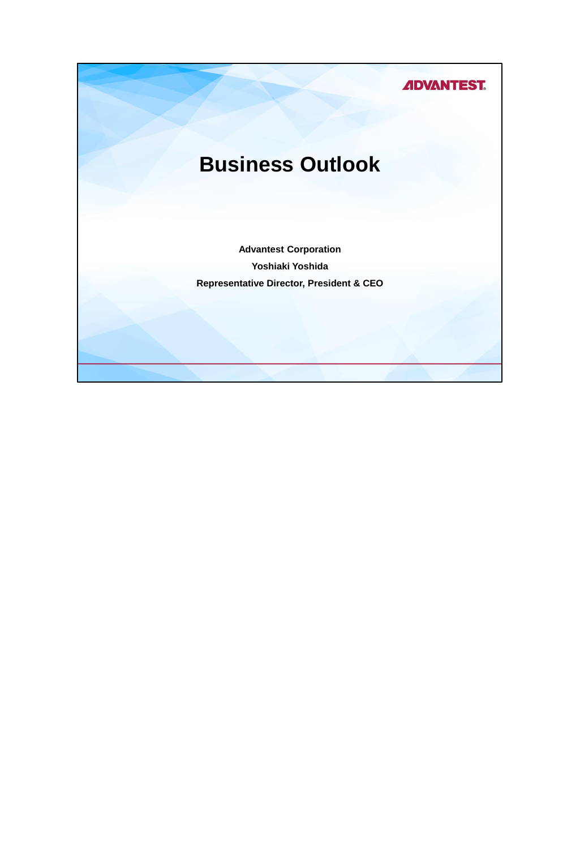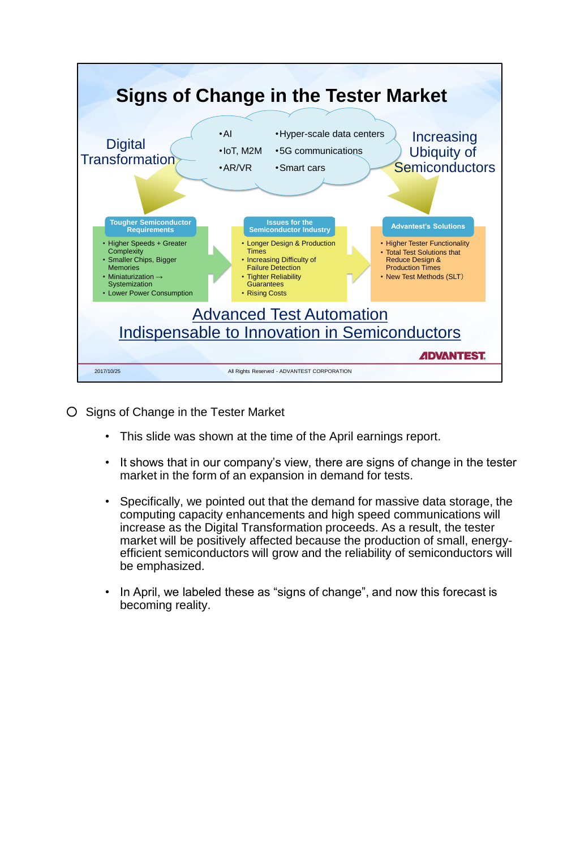

- Signs of Change in the Tester Market
	- This slide was shown at the time of the April earnings report.
	- It shows that in our company's view, there are signs of change in the tester market in the form of an expansion in demand for tests.
	- Specifically, we pointed out that the demand for massive data storage, the computing capacity enhancements and high speed communications will increase as the Digital Transformation proceeds. As a result, the tester market will be positively affected because the production of small, energyefficient semiconductors will grow and the reliability of semiconductors will be emphasized.
	- In April, we labeled these as "signs of change", and now this forecast is becoming reality.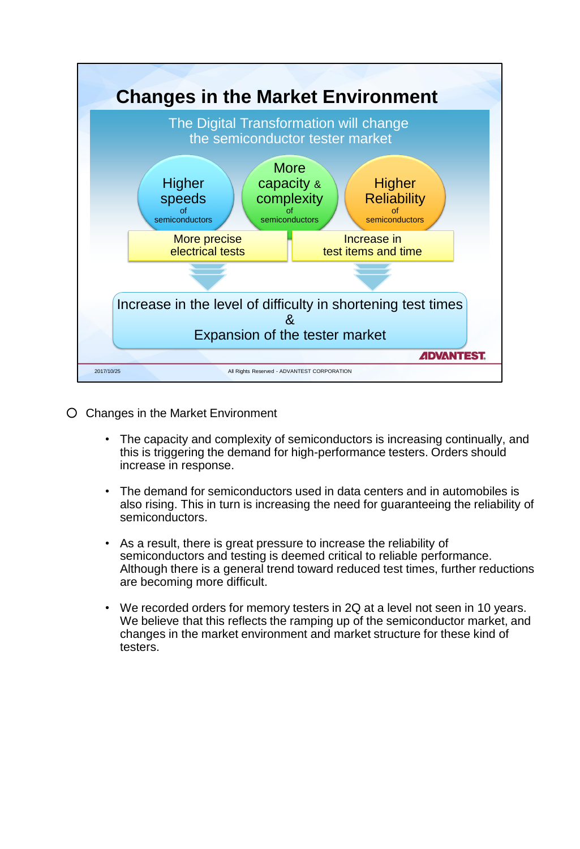

- Changes in the Market Environment
	- The capacity and complexity of semiconductors is increasing continually, and this is triggering the demand for high-performance testers. Orders should increase in response.
	- The demand for semiconductors used in data centers and in automobiles is also rising. This in turn is increasing the need for guaranteeing the reliability of semiconductors.
	- As a result, there is great pressure to increase the reliability of semiconductors and testing is deemed critical to reliable performance. Although there is a general trend toward reduced test times, further reductions are becoming more difficult.
	- We recorded orders for memory testers in 2Q at a level not seen in 10 years. We believe that this reflects the ramping up of the semiconductor market, and changes in the market environment and market structure for these kind of testers.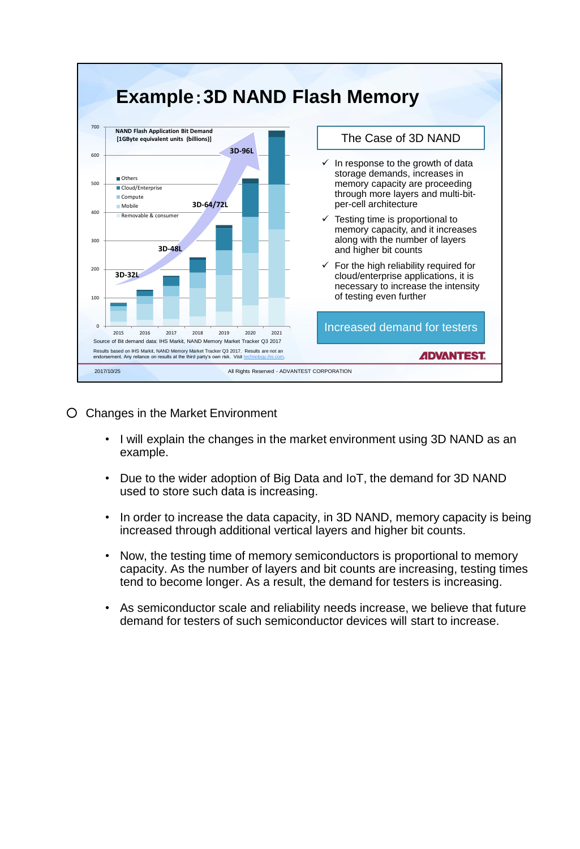

○ Changes in the Market Environment

- I will explain the changes in the market environment using 3D NAND as an example.
- Due to the wider adoption of Big Data and IoT, the demand for 3D NAND used to store such data is increasing.
- In order to increase the data capacity, in 3D NAND, memory capacity is being increased through additional vertical layers and higher bit counts.
- Now, the testing time of memory semiconductors is proportional to memory capacity. As the number of layers and bit counts are increasing, testing times tend to become longer. As a result, the demand for testers is increasing.
- As semiconductor scale and reliability needs increase, we believe that future demand for testers of such semiconductor devices will start to increase.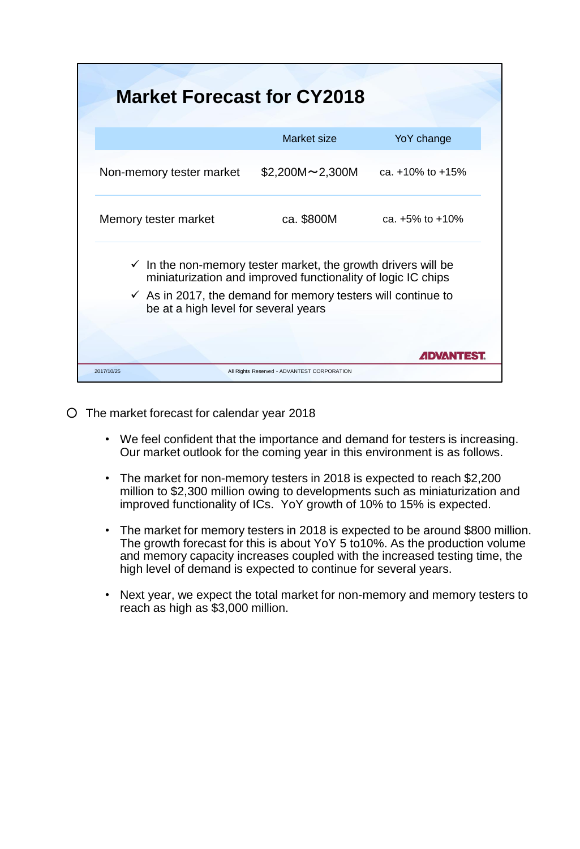| <b>Market Forecast for CY2018</b>                                                                               |                                                              |                        |
|-----------------------------------------------------------------------------------------------------------------|--------------------------------------------------------------|------------------------|
|                                                                                                                 | Market size                                                  | YoY change             |
| Non-memory tester market                                                                                        | $$2,200M \sim 2,300M$                                        | ca. $+10\%$ to $+15\%$ |
| Memory tester market                                                                                            | ca. \$800M                                                   | ca. $+5\%$ to $+10\%$  |
| $\checkmark$ In the non-memory tester market, the growth drivers will be                                        | miniaturization and improved functionality of logic IC chips |                        |
| $\checkmark$ As in 2017, the demand for memory testers will continue to<br>be at a high level for several years |                                                              |                        |
|                                                                                                                 |                                                              | <i>A</i> DVANTEST      |
| 2017/10/25                                                                                                      | All Rights Reserved - ADVANTEST CORPORATION                  |                        |

○ The market forecast for calendar year 2018

- We feel confident that the importance and demand for testers is increasing. Our market outlook for the coming year in this environment is as follows.
- The market for non-memory testers in 2018 is expected to reach \$2,200 million to \$2,300 million owing to developments such as miniaturization and improved functionality of ICs. YoY growth of 10% to 15% is expected.
- The market for memory testers in 2018 is expected to be around \$800 million. The growth forecast for this is about YoY 5 to10%. As the production volume and memory capacity increases coupled with the increased testing time, the high level of demand is expected to continue for several years.
- Next year, we expect the total market for non-memory and memory testers to reach as high as \$3,000 million.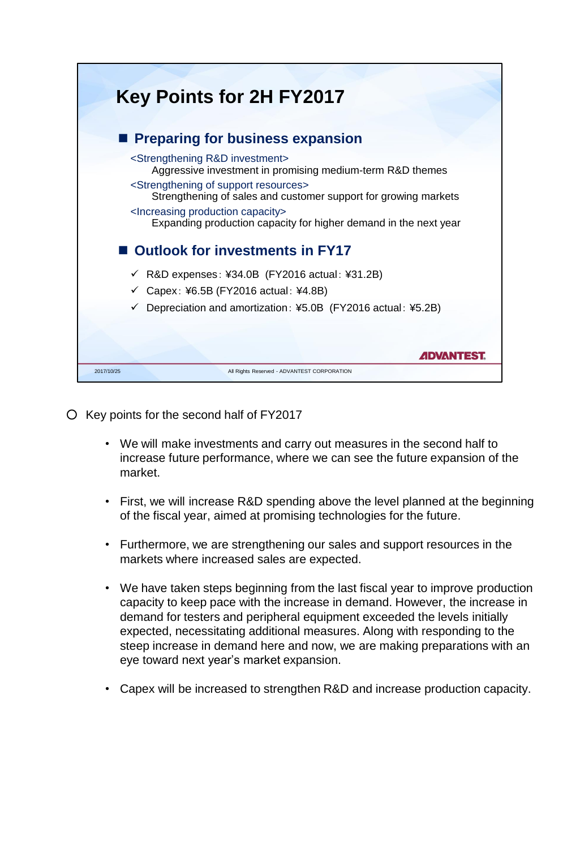

- Key points for the second half of FY2017
	- We will make investments and carry out measures in the second half to increase future performance, where we can see the future expansion of the market.
	- First, we will increase R&D spending above the level planned at the beginning of the fiscal year, aimed at promising technologies for the future.
	- Furthermore, we are strengthening our sales and support resources in the markets where increased sales are expected.
	- We have taken steps beginning from the last fiscal year to improve production capacity to keep pace with the increase in demand. However, the increase in demand for testers and peripheral equipment exceeded the levels initially expected, necessitating additional measures. Along with responding to the steep increase in demand here and now, we are making preparations with an eye toward next year's market expansion.
	- Capex will be increased to strengthen R&D and increase production capacity.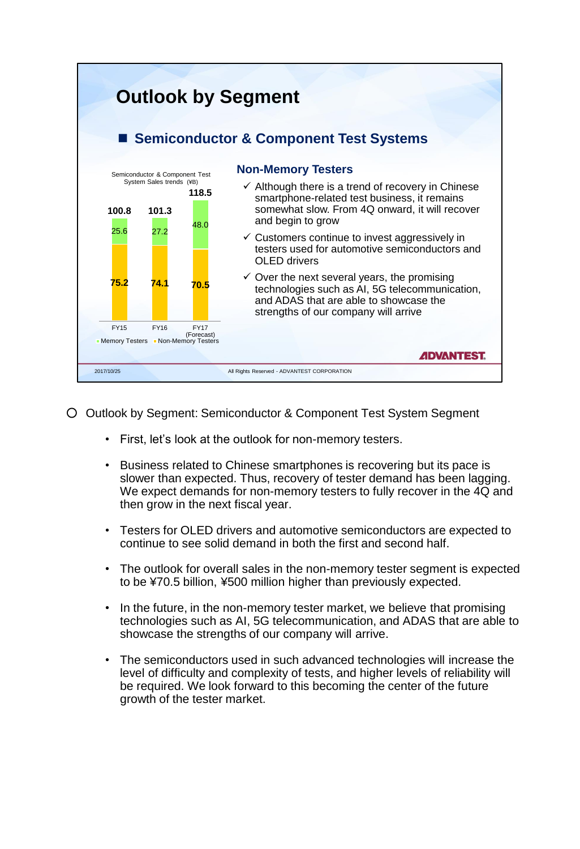

- Outlook by Segment: Semiconductor & Component Test System Segment
	- First, let's look at the outlook for non-memory testers.
	- Business related to Chinese smartphones is recovering but its pace is slower than expected. Thus, recovery of tester demand has been lagging. We expect demands for non-memory testers to fully recover in the 4Q and then grow in the next fiscal year.
	- Testers for OLED drivers and automotive semiconductors are expected to continue to see solid demand in both the first and second half.
	- The outlook for overall sales in the non-memory tester segment is expected to be ¥70.5 billion, ¥500 million higher than previously expected.
	- In the future, in the non-memory tester market, we believe that promising technologies such as AI, 5G telecommunication, and ADAS that are able to showcase the strengths of our company will arrive.
	- The semiconductors used in such advanced technologies will increase the level of difficulty and complexity of tests, and higher levels of reliability will be required. We look forward to this becoming the center of the future growth of the tester market.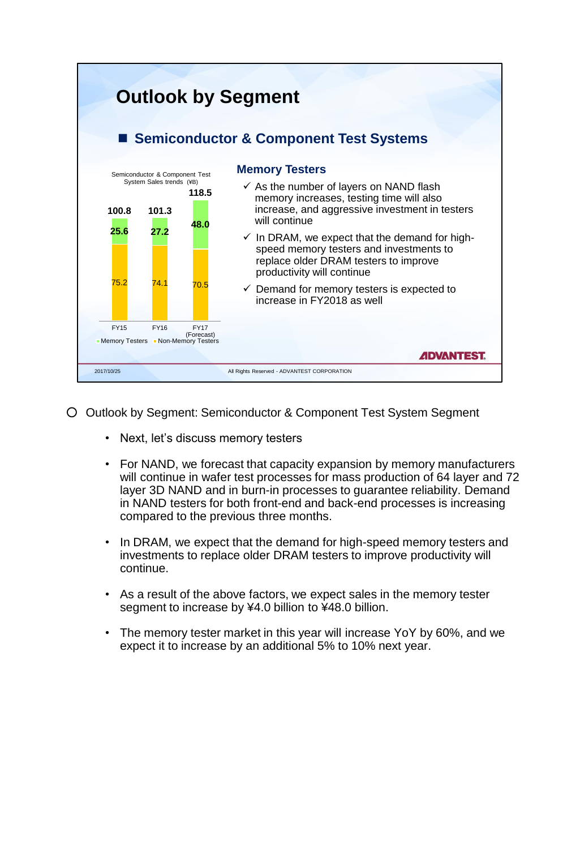

- Outlook by Segment: Semiconductor & Component Test System Segment
	- Next, let's discuss memory testers
	- For NAND, we forecast that capacity expansion by memory manufacturers will continue in wafer test processes for mass production of 64 layer and 72 layer 3D NAND and in burn-in processes to guarantee reliability. Demand in NAND testers for both front-end and back-end processes is increasing compared to the previous three months.
	- In DRAM, we expect that the demand for high-speed memory testers and investments to replace older DRAM testers to improve productivity will continue.
	- As a result of the above factors, we expect sales in the memory tester segment to increase by ¥4.0 billion to ¥48.0 billion.
	- The memory tester market in this year will increase YoY by 60%, and we expect it to increase by an additional 5% to 10% next year.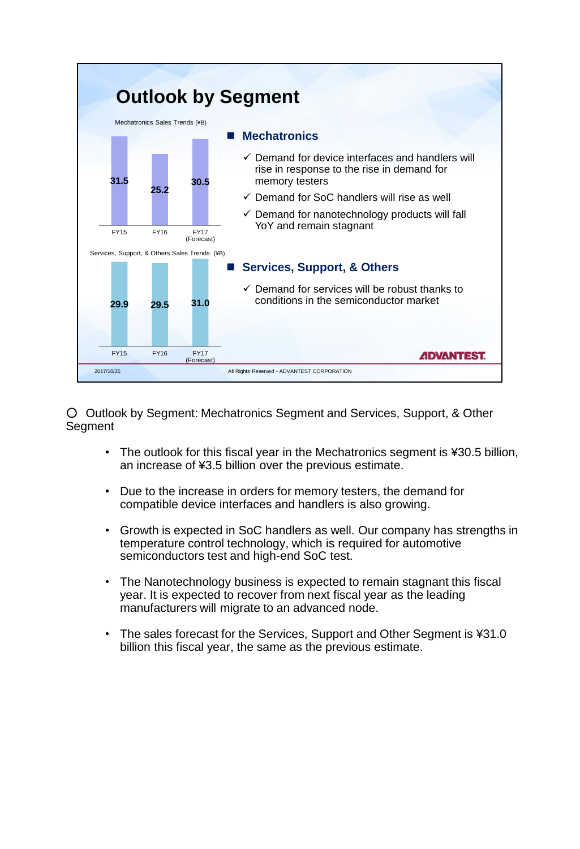

○ Outlook by Segment: Mechatronics Segment and Services, Support, & Other **Segment** 

- The outlook for this fiscal year in the Mechatronics segment is ¥30.5 billion, an increase of ¥3.5 billion over the previous estimate.
- Due to the increase in orders for memory testers, the demand for compatible device interfaces and handlers is also growing.
- Growth is expected in SoC handlers as well. Our company has strengths in temperature control technology, which is required for automotive semiconductors test and high-end SoC test.
- The Nanotechnology business is expected to remain stagnant this fiscal year. It is expected to recover from next fiscal year as the leading manufacturers will migrate to an advanced node.
- The sales forecast for the Services, Support and Other Segment is ¥31.0 billion this fiscal year, the same as the previous estimate.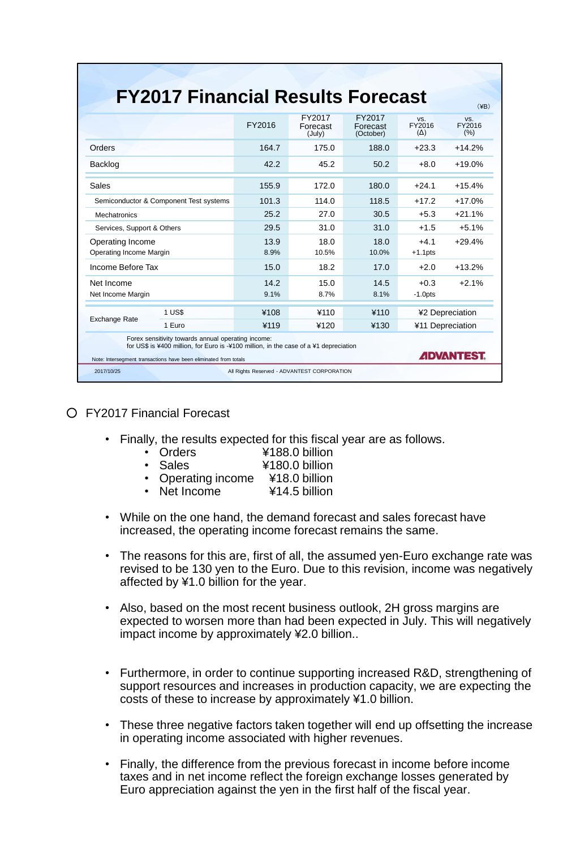| <b>FY2017 Financial Results Forecast</b>                                                                                                                                                                        |              |                              |                                 |                                     | $(\yen B)$           |
|-----------------------------------------------------------------------------------------------------------------------------------------------------------------------------------------------------------------|--------------|------------------------------|---------------------------------|-------------------------------------|----------------------|
|                                                                                                                                                                                                                 | FY2016       | FY2017<br>Forecast<br>(July) | FY2017<br>Forecast<br>(October) | VS.<br>FY2016<br>$(\Delta)$         | VS.<br>FY2016<br>(%) |
| Orders                                                                                                                                                                                                          | 164.7        | 175.0                        | 188.0                           | $+23.3$                             | $+14.2%$             |
| Backlog                                                                                                                                                                                                         | 42.2         | 45.2                         | 50.2                            | $+8.0$                              | $+19.0%$             |
| Sales                                                                                                                                                                                                           | 155.9        | 172.0                        | 180.0                           | $+24.1$                             | $+15.4%$             |
| Semiconductor & Component Test systems                                                                                                                                                                          | 101.3        | 114.0                        | 118.5                           | $+17.2$                             | $+17.0%$             |
| Mechatronics                                                                                                                                                                                                    | 25.2         | 27.0                         | 30.5                            | $+5.3$                              | $+21.1%$             |
| Services, Support & Others                                                                                                                                                                                      | 29.5         | 31.0                         | 31.0                            | $+1.5$                              | $+5.1%$              |
| Operating Income<br>Operating Income Margin                                                                                                                                                                     | 13.9<br>8.9% | 18.0<br>10.5%                | 18.0<br>10.0%                   | $+4.1$<br>$+1.1$ pts                | $+29.4%$             |
| Income Before Tax                                                                                                                                                                                               | 15.0         | 18.2                         | 17.0                            | $+2.0$                              | $+13.2%$             |
| Net Income<br>Net Income Margin                                                                                                                                                                                 | 14.2<br>9.1% | 15.0<br>8.7%                 | 14.5<br>8.1%                    | $+0.3$<br>$-1.0$ pts                | $+2.1%$              |
| <b>1 US\$</b>                                                                                                                                                                                                   | ¥108         | ¥110                         | ¥110                            | ¥2 Depreciation<br>¥11 Depreciation |                      |
| <b>Exchange Rate</b><br>1 Euro                                                                                                                                                                                  | ¥119         | ¥120                         | ¥130                            |                                     |                      |
| Forex sensitivity towards annual operating income:<br>for US\$ is ¥400 million, for Euro is -¥100 million, in the case of a ¥1 depreciation<br>Note: Intersegment transactions have been eliminated from totals |              |                              |                                 |                                     | <b>ADVANTEST.</b>    |

#### ○ FY2017 Financial Forecast

• Finally, the results expected for this fiscal year are as follows.

| • Orders           | ¥188.0 billion |
|--------------------|----------------|
| • Sales            | ¥180.0 billion |
| • Operating income | ¥18.0 billion  |
| • Net Income       | ¥14.5 billion  |

- While on the one hand, the demand forecast and sales forecast have increased, the operating income forecast remains the same.
- The reasons for this are, first of all, the assumed yen-Euro exchange rate was revised to be 130 yen to the Euro. Due to this revision, income was negatively affected by ¥1.0 billion for the year.
- Also, based on the most recent business outlook, 2H gross margins are expected to worsen more than had been expected in July. This will negatively impact income by approximately ¥2.0 billion..
- Furthermore, in order to continue supporting increased R&D, strengthening of support resources and increases in production capacity, we are expecting the costs of these to increase by approximately ¥1.0 billion.
- These three negative factors taken together will end up offsetting the increase in operating income associated with higher revenues.
- Finally, the difference from the previous forecast in income before income taxes and in net income reflect the foreign exchange losses generated by Euro appreciation against the yen in the first half of the fiscal year.